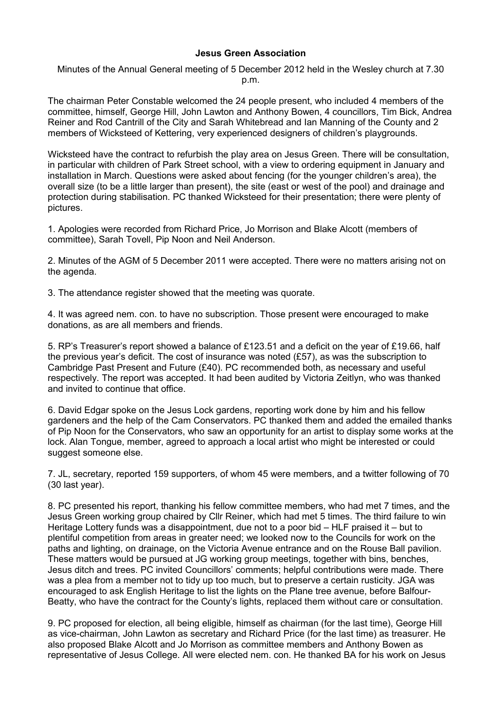## **Jesus Green Association**

Minutes of the Annual General meeting of 5 December 2012 held in the Wesley church at 7.30 p.m.

The chairman Peter Constable welcomed the 24 people present, who included 4 members of the committee, himself, George Hill, John Lawton and Anthony Bowen, 4 councillors, Tim Bick, Andrea Reiner and Rod Cantrill of the City and Sarah Whitebread and Ian Manning of the County and 2 members of Wicksteed of Kettering, very experienced designers of children's playgrounds.

Wicksteed have the contract to refurbish the play area on Jesus Green. There will be consultation, in particular with children of Park Street school, with a view to ordering equipment in January and installation in March. Questions were asked about fencing (for the younger children's area), the overall size (to be a little larger than present), the site (east or west of the pool) and drainage and protection during stabilisation. PC thanked Wicksteed for their presentation; there were plenty of pictures.

1. Apologies were recorded from Richard Price, Jo Morrison and Blake Alcott (members of committee), Sarah Tovell, Pip Noon and Neil Anderson.

2. Minutes of the AGM of 5 December 2011 were accepted. There were no matters arising not on the agenda.

3. The attendance register showed that the meeting was quorate.

4. It was agreed nem. con. to have no subscription. Those present were encouraged to make donations, as are all members and friends.

5. RP's Treasurer's report showed a balance of £123.51 and a deficit on the year of £19.66, half the previous year's deficit. The cost of insurance was noted (£57), as was the subscription to Cambridge Past Present and Future (£40). PC recommended both, as necessary and useful respectively. The report was accepted. It had been audited by Victoria Zeitlyn, who was thanked and invited to continue that office.

6. David Edgar spoke on the Jesus Lock gardens, reporting work done by him and his fellow gardeners and the help of the Cam Conservators. PC thanked them and added the emailed thanks of Pip Noon for the Conservators, who saw an opportunity for an artist to display some works at the lock. Alan Tongue, member, agreed to approach a local artist who might be interested or could suggest someone else.

7. JL, secretary, reported 159 supporters, of whom 45 were members, and a twitter following of 70 (30 last year).

8. PC presented his report, thanking his fellow committee members, who had met 7 times, and the Jesus Green working group chaired by Cllr Reiner, which had met 5 times. The third failure to win Heritage Lottery funds was a disappointment, due not to a poor bid – HLF praised it – but to plentiful competition from areas in greater need; we looked now to the Councils for work on the paths and lighting, on drainage, on the Victoria Avenue entrance and on the Rouse Ball pavilion. These matters would be pursued at JG working group meetings, together with bins, benches, Jesus ditch and trees. PC invited Councillors' comments; helpful contributions were made. There was a plea from a member not to tidy up too much, but to preserve a certain rusticity. JGA was encouraged to ask English Heritage to list the lights on the Plane tree avenue, before Balfour-Beatty, who have the contract for the County's lights, replaced them without care or consultation.

9. PC proposed for election, all being eligible, himself as chairman (for the last time), George Hill as vice-chairman, John Lawton as secretary and Richard Price (for the last time) as treasurer. He also proposed Blake Alcott and Jo Morrison as committee members and Anthony Bowen as representative of Jesus College. All were elected nem. con. He thanked BA for his work on Jesus